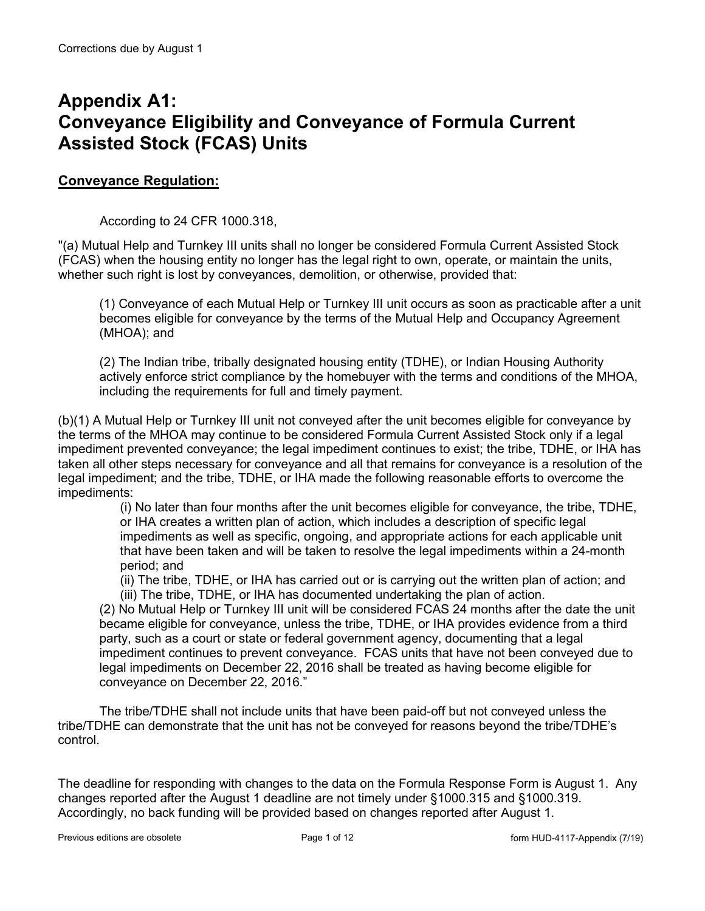## **Appendix A1: Conveyance Eligibility and Conveyance of Formula Current Assisted Stock (FCAS) Units**

### **Conveyance Regulation:**

According to 24 CFR 1000.318,

"(a) Mutual Help and Turnkey III units shall no longer be considered Formula Current Assisted Stock (FCAS) when the housing entity no longer has the legal right to own, operate, or maintain the units, whether such right is lost by conveyances, demolition, or otherwise, provided that:

(1) Conveyance of each Mutual Help or Turnkey III unit occurs as soon as practicable after a unit becomes eligible for conveyance by the terms of the Mutual Help and Occupancy Agreement (MHOA); and

(2) The Indian tribe, tribally designated housing entity (TDHE), or Indian Housing Authority actively enforce strict compliance by the homebuyer with the terms and conditions of the MHOA, including the requirements for full and timely payment.

(b)(1) A Mutual Help or Turnkey III unit not conveyed after the unit becomes eligible for conveyance by the terms of the MHOA may continue to be considered Formula Current Assisted Stock only if a legal impediment prevented conveyance; the legal impediment continues to exist; the tribe, TDHE, or IHA has taken all other steps necessary for conveyance and all that remains for conveyance is a resolution of the legal impediment; and the tribe, TDHE, or IHA made the following reasonable efforts to overcome the impediments:

(i) No later than four months after the unit becomes eligible for conveyance, the tribe, TDHE, or IHA creates a written plan of action, which includes a description of specific legal impediments as well as specific, ongoing, and appropriate actions for each applicable unit that have been taken and will be taken to resolve the legal impediments within a 24-month period; and

(ii) The tribe, TDHE, or IHA has carried out or is carrying out the written plan of action; and (iii) The tribe, TDHE, or IHA has documented undertaking the plan of action.

(2) No Mutual Help or Turnkey III unit will be considered FCAS 24 months after the date the unit became eligible for conveyance, unless the tribe, TDHE, or IHA provides evidence from a third party, such as a court or state or federal government agency, documenting that a legal impediment continues to prevent conveyance. FCAS units that have not been conveyed due to legal impediments on December 22, 2016 shall be treated as having become eligible for conveyance on December 22, 2016."

The tribe/TDHE shall not include units that have been paid-off but not conveyed unless the tribe/TDHE can demonstrate that the unit has not be conveyed for reasons beyond the tribe/TDHE's control.

The deadline for responding with changes to the data on the Formula Response Form is August 1. Any changes reported after the August 1 deadline are not timely under §1000.315 and §1000.319. Accordingly, no back funding will be provided based on changes reported after August 1.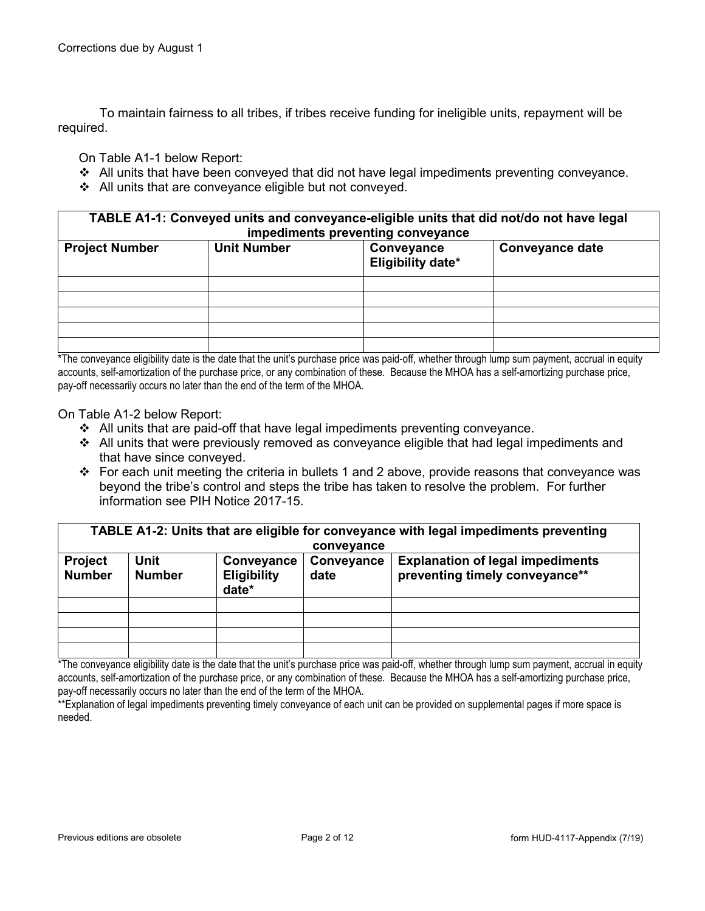To maintain fairness to all tribes, if tribes receive funding for ineligible units, repayment will be required.

On Table A1-1 below Report:

- All units that have been conveyed that did not have legal impediments preventing conveyance.
- $\div$  All units that are conveyance eligible but not conveyed.

**TABLE A1-1: Conveyed units and conveyance-eligible units that did not/do not have legal impediments preventing conveyance**

| <b>Project Number</b> | <b>Unit Number</b> | Conveyance<br>Eligibility date* | <b>Conveyance date</b> |
|-----------------------|--------------------|---------------------------------|------------------------|
|                       |                    |                                 |                        |
|                       |                    |                                 |                        |
|                       |                    |                                 |                        |
|                       |                    |                                 |                        |
|                       |                    |                                 |                        |

\*The conveyance eligibility date is the date that the unit's purchase price was paid-off, whether through lump sum payment, accrual in equity accounts, self-amortization of the purchase price, or any combination of these. Because the MHOA has a self-amortizing purchase price, pay-off necessarily occurs no later than the end of the term of the MHOA.

On Table A1-2 below Report:

- $\div$  All units that are paid-off that have legal impediments preventing conveyance.
- $\div$  All units that were previously removed as conveyance eligible that had legal impediments and that have since conveyed.
- \* For each unit meeting the criteria in bullets 1 and 2 above, provide reasons that conveyance was beyond the tribe's control and steps the tribe has taken to resolve the problem. For further information see PIH Notice 2017-15.

|                                 | TABLE A1-2: Units that are eligible for conveyance with legal impediments preventing |                                           |                    |                                                                           |  |  |
|---------------------------------|--------------------------------------------------------------------------------------|-------------------------------------------|--------------------|---------------------------------------------------------------------------|--|--|
|                                 |                                                                                      |                                           | conveyance         |                                                                           |  |  |
| <b>Project</b><br><b>Number</b> | <b>Unit</b><br><b>Number</b>                                                         | Conveyance<br><b>Eligibility</b><br>date* | Conveyance<br>date | <b>Explanation of legal impediments</b><br>preventing timely conveyance** |  |  |
|                                 |                                                                                      |                                           |                    |                                                                           |  |  |
|                                 |                                                                                      |                                           |                    |                                                                           |  |  |
|                                 |                                                                                      |                                           |                    |                                                                           |  |  |
|                                 |                                                                                      |                                           |                    |                                                                           |  |  |

\*The conveyance eligibility date is the date that the unit's purchase price was paid-off, whether through lump sum payment, accrual in equity accounts, self-amortization of the purchase price, or any combination of these. Because the MHOA has a self-amortizing purchase price, pay-off necessarily occurs no later than the end of the term of the MHOA.

\*\*Explanation of legal impediments preventing timely conveyance of each unit can be provided on supplemental pages if more space is needed.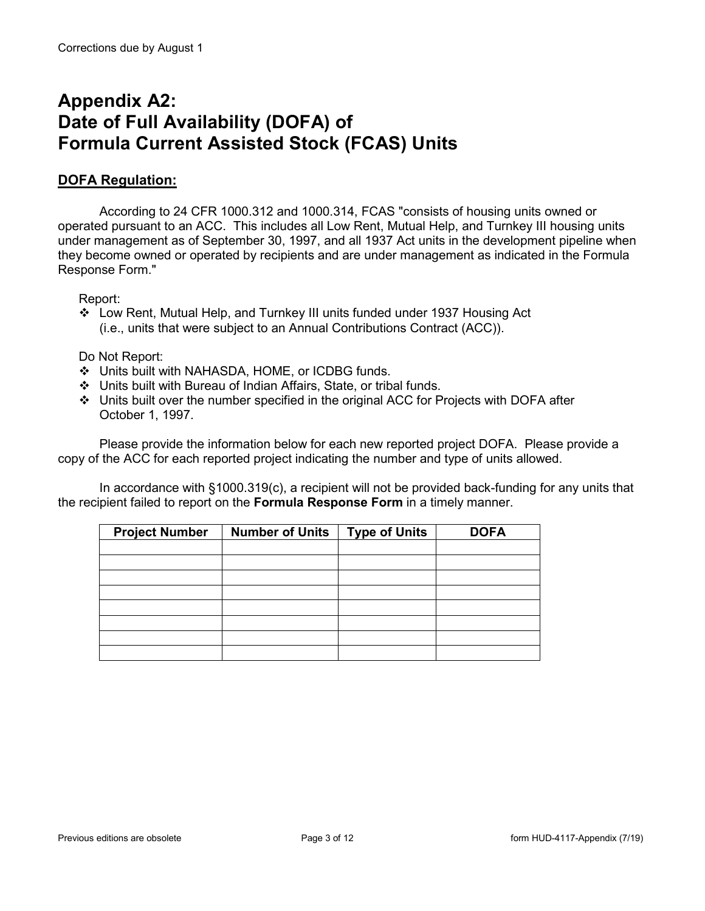## **Appendix A2: Date of Full Availability (DOFA) of Formula Current Assisted Stock (FCAS) Units**

### **DOFA Regulation:**

According to 24 CFR 1000.312 and 1000.314, FCAS "consists of housing units owned or operated pursuant to an ACC. This includes all Low Rent, Mutual Help, and Turnkey III housing units under management as of September 30, 1997, and all 1937 Act units in the development pipeline when they become owned or operated by recipients and are under management as indicated in the Formula Response Form."

Report:

 Low Rent, Mutual Help, and Turnkey III units funded under 1937 Housing Act (i.e., units that were subject to an Annual Contributions Contract (ACC)).

Do Not Report:

- Units built with NAHASDA, HOME, or ICDBG funds.
- Units built with Bureau of Indian Affairs, State, or tribal funds.
- Units built over the number specified in the original ACC for Projects with DOFA after October 1, 1997.

Please provide the information below for each new reported project DOFA. Please provide a copy of the ACC for each reported project indicating the number and type of units allowed.

In accordance with §1000.319(c), a recipient will not be provided back-funding for any units that the recipient failed to report on the **Formula Response Form** in a timely manner.

| <b>Project Number</b> | <b>Number of Units</b> | <b>Type of Units</b> | <b>DOFA</b> |
|-----------------------|------------------------|----------------------|-------------|
|                       |                        |                      |             |
|                       |                        |                      |             |
|                       |                        |                      |             |
|                       |                        |                      |             |
|                       |                        |                      |             |
|                       |                        |                      |             |
|                       |                        |                      |             |
|                       |                        |                      |             |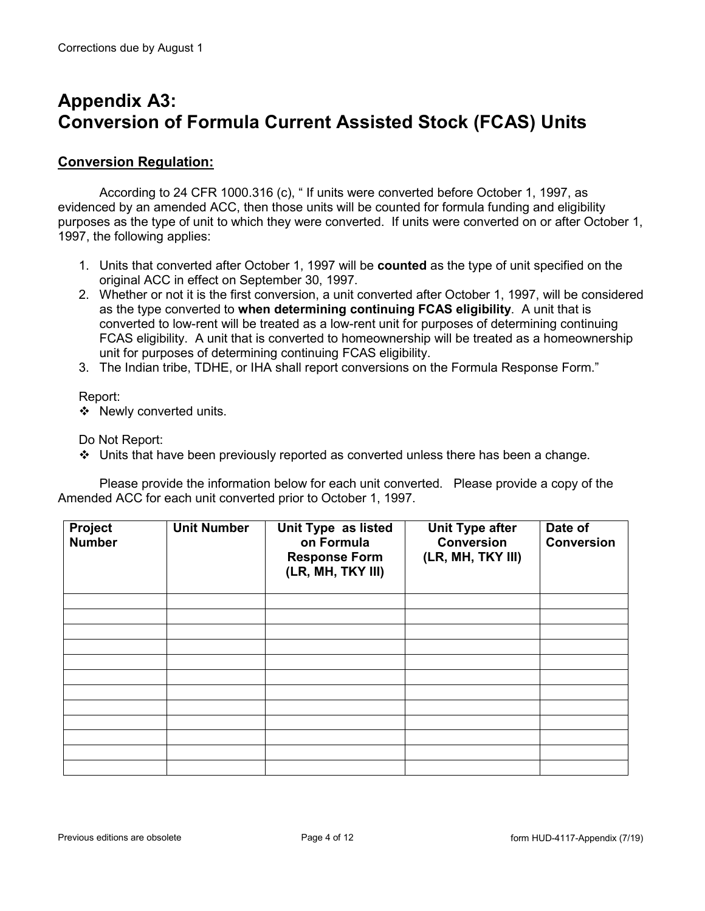# **Appendix A3: Conversion of Formula Current Assisted Stock (FCAS) Units**

### **Conversion Regulation:**

According to 24 CFR 1000.316 (c), " If units were converted before October 1, 1997, as evidenced by an amended ACC, then those units will be counted for formula funding and eligibility purposes as the type of unit to which they were converted. If units were converted on or after October 1, 1997, the following applies:

- 1. Units that converted after October 1, 1997 will be **counted** as the type of unit specified on the original ACC in effect on September 30, 1997.
- 2. Whether or not it is the first conversion, a unit converted after October 1, 1997, will be considered as the type converted to **when determining continuing FCAS eligibility**. A unit that is converted to low-rent will be treated as a low-rent unit for purposes of determining continuing FCAS eligibility. A unit that is converted to homeownership will be treated as a homeownership unit for purposes of determining continuing FCAS eligibility.
- 3. The Indian tribe, TDHE, or IHA shall report conversions on the Formula Response Form."

#### Report:

❖ Newly converted units.

Do Not Report:

Units that have been previously reported as converted unless there has been a change.

Please provide the information below for each unit converted. Please provide a copy of the Amended ACC for each unit converted prior to October 1, 1997.

| Project<br><b>Number</b> | <b>Unit Number</b> | Unit Type as listed<br>on Formula<br><b>Response Form</b><br>(LR, MH, TKY III) | <b>Unit Type after</b><br><b>Conversion</b><br>(LR, MH, TKY III) | Date of<br><b>Conversion</b> |
|--------------------------|--------------------|--------------------------------------------------------------------------------|------------------------------------------------------------------|------------------------------|
|                          |                    |                                                                                |                                                                  |                              |
|                          |                    |                                                                                |                                                                  |                              |
|                          |                    |                                                                                |                                                                  |                              |
|                          |                    |                                                                                |                                                                  |                              |
|                          |                    |                                                                                |                                                                  |                              |
|                          |                    |                                                                                |                                                                  |                              |
|                          |                    |                                                                                |                                                                  |                              |
|                          |                    |                                                                                |                                                                  |                              |
|                          |                    |                                                                                |                                                                  |                              |
|                          |                    |                                                                                |                                                                  |                              |
|                          |                    |                                                                                |                                                                  |                              |
|                          |                    |                                                                                |                                                                  |                              |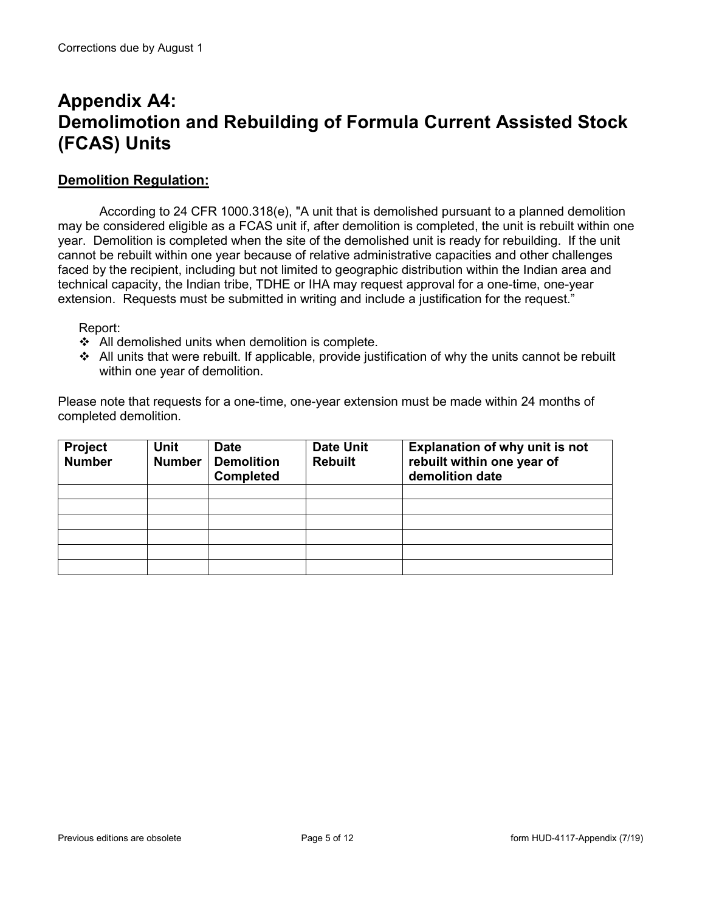# **Appendix A4: Demolimotion and Rebuilding of Formula Current Assisted Stock (FCAS) Units**

#### **Demolition Regulation:**

According to 24 CFR 1000.318(e), "A unit that is demolished pursuant to a planned demolition may be considered eligible as a FCAS unit if, after demolition is completed, the unit is rebuilt within one year. Demolition is completed when the site of the demolished unit is ready for rebuilding. If the unit cannot be rebuilt within one year because of relative administrative capacities and other challenges faced by the recipient, including but not limited to geographic distribution within the Indian area and technical capacity, the Indian tribe, TDHE or IHA may request approval for a one-time, one-year extension. Requests must be submitted in writing and include a justification for the request."

#### Report:

- $\triangleleft$  All demolished units when demolition is complete.
- $\div$  All units that were rebuilt. If applicable, provide justification of why the units cannot be rebuilt within one year of demolition.

Please note that requests for a one-time, one-year extension must be made within 24 months of completed demolition.

| <b>Project</b><br><b>Number</b> | <b>Unit</b><br><b>Number</b> | <b>Date</b><br><b>Demolition</b><br><b>Completed</b> | <b>Date Unit</b><br><b>Rebuilt</b> | <b>Explanation of why unit is not</b><br>rebuilt within one year of<br>demolition date |
|---------------------------------|------------------------------|------------------------------------------------------|------------------------------------|----------------------------------------------------------------------------------------|
|                                 |                              |                                                      |                                    |                                                                                        |
|                                 |                              |                                                      |                                    |                                                                                        |
|                                 |                              |                                                      |                                    |                                                                                        |
|                                 |                              |                                                      |                                    |                                                                                        |
|                                 |                              |                                                      |                                    |                                                                                        |
|                                 |                              |                                                      |                                    |                                                                                        |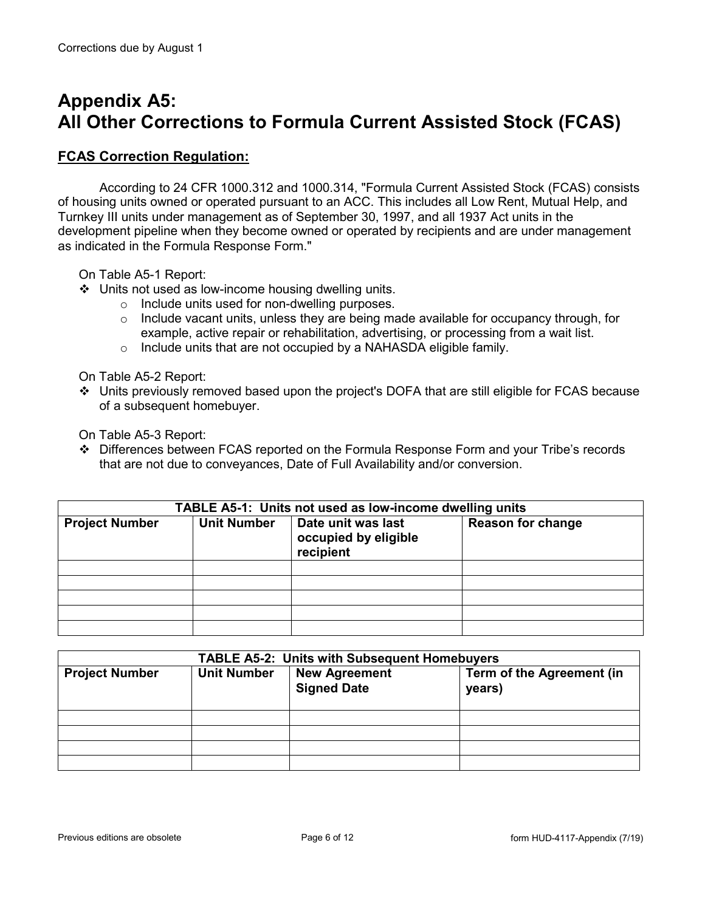# **Appendix A5: All Other Corrections to Formula Current Assisted Stock (FCAS)**

#### **FCAS Correction Regulation:**

According to 24 CFR 1000.312 and 1000.314, "Formula Current Assisted Stock (FCAS) consists of housing units owned or operated pursuant to an ACC. This includes all Low Rent, Mutual Help, and Turnkey III units under management as of September 30, 1997, and all 1937 Act units in the development pipeline when they become owned or operated by recipients and are under management as indicated in the Formula Response Form."

On Table A5-1 Report:

- Units not used as low-income housing dwelling units.
	- o Include units used for non-dwelling purposes.
	- $\circ$  Include vacant units, unless they are being made available for occupancy through, for example, active repair or rehabilitation, advertising, or processing from a wait list.
	- o Include units that are not occupied by a NAHASDA eligible family.

On Table A5-2 Report:

 Units previously removed based upon the project's DOFA that are still eligible for FCAS because of a subsequent homebuyer.

On Table A5-3 Report:

 Differences between FCAS reported on the Formula Response Form and your Tribe's records that are not due to conveyances, Date of Full Availability and/or conversion.

| TABLE A5-1: Units not used as low-income dwelling units |                    |                                                         |                          |  |  |
|---------------------------------------------------------|--------------------|---------------------------------------------------------|--------------------------|--|--|
| <b>Project Number</b>                                   | <b>Unit Number</b> | Date unit was last<br>occupied by eligible<br>recipient | <b>Reason for change</b> |  |  |
|                                                         |                    |                                                         |                          |  |  |
|                                                         |                    |                                                         |                          |  |  |
|                                                         |                    |                                                         |                          |  |  |
|                                                         |                    |                                                         |                          |  |  |
|                                                         |                    |                                                         |                          |  |  |

| <b>TABLE A5-2: Units with Subsequent Homebuyers</b> |                    |                                            |                                     |  |  |
|-----------------------------------------------------|--------------------|--------------------------------------------|-------------------------------------|--|--|
| <b>Project Number</b>                               | <b>Unit Number</b> | <b>New Agreement</b><br><b>Signed Date</b> | Term of the Agreement (in<br>years) |  |  |
|                                                     |                    |                                            |                                     |  |  |
|                                                     |                    |                                            |                                     |  |  |
|                                                     |                    |                                            |                                     |  |  |
|                                                     |                    |                                            |                                     |  |  |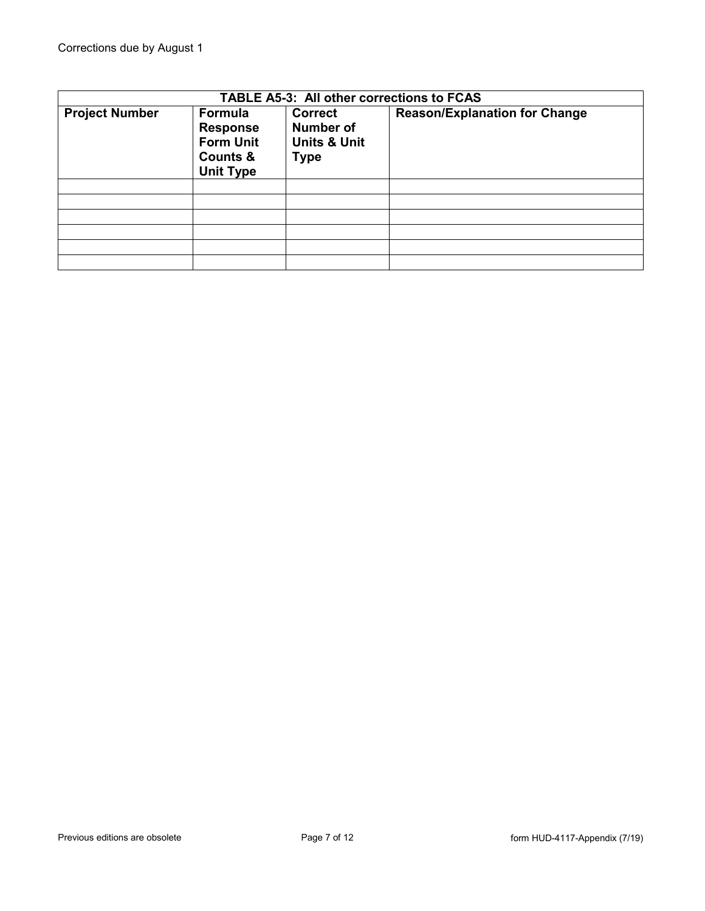| TABLE A5-3: All other corrections to FCAS |                                                                                           |                                                                              |                                      |  |  |
|-------------------------------------------|-------------------------------------------------------------------------------------------|------------------------------------------------------------------------------|--------------------------------------|--|--|
| <b>Project Number</b>                     | Formula<br><b>Response</b><br><b>Form Unit</b><br><b>Counts &amp;</b><br><b>Unit Type</b> | <b>Correct</b><br><b>Number of</b><br><b>Units &amp; Unit</b><br><b>Type</b> | <b>Reason/Explanation for Change</b> |  |  |
|                                           |                                                                                           |                                                                              |                                      |  |  |
|                                           |                                                                                           |                                                                              |                                      |  |  |
|                                           |                                                                                           |                                                                              |                                      |  |  |
|                                           |                                                                                           |                                                                              |                                      |  |  |
|                                           |                                                                                           |                                                                              |                                      |  |  |
|                                           |                                                                                           |                                                                              |                                      |  |  |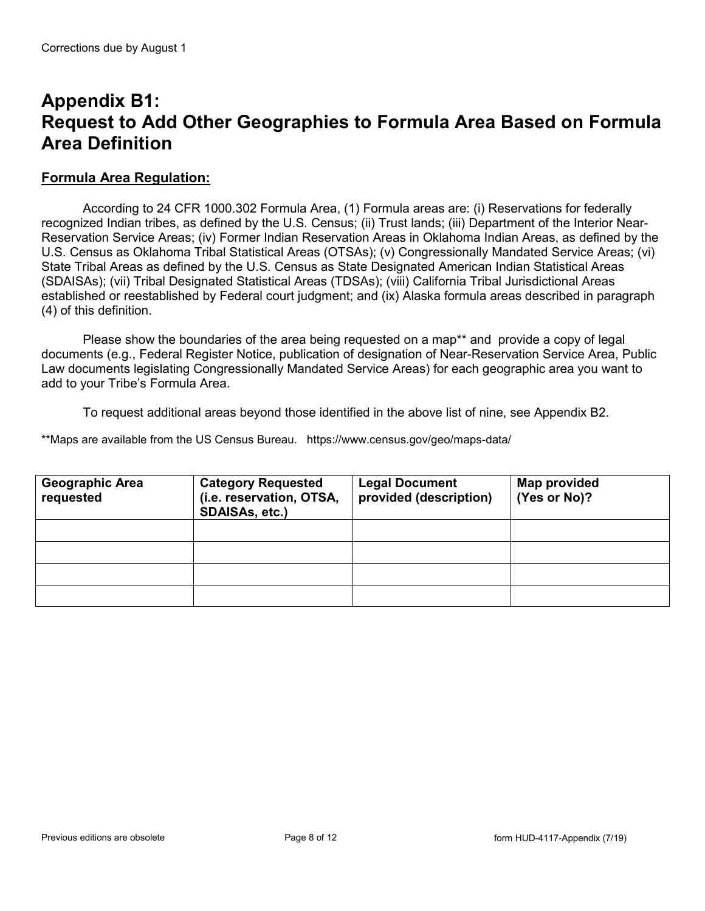### **Appendix B1: Request to Add Other Geographies to Formula Area Based on Formula Area Definition**

#### **Formula Area Regulation:**

According to 24 CFR 1000.302 Formula Area, (1) Formula areas are: (i) Reservations for federally recognized Indian tribes, as defined by the U.S. Census; (ii) Trust lands; (iii) Department of the Interior Near-Reservation Service Areas; (iv) Former Indian Reservation Areas in Oklahoma Indian Areas, as defined by the U.S. Census as Oklahoma Tribal Statistical Areas (OTSAs); (v) Congressionally Mandated Service Areas; (vi) State Tribal Areas as defined by the U.S. Census as State Designated American Indian Statistical Areas (SDAISAs); (vii) Tribal Designated Statistical Areas (TDSAs); (viii) California Tribal Jurisdictional Areas established or reestablished by Federal court judgment; and (ix) Alaska formula areas described in paragraph (4) of this definition.

Please show the boundaries of the area being requested on a map\*\* and provide a copy of legal documents (e.g., Federal Register Notice, publication of designation of Near-Reservation Service Area, Public Law documents legislating Congressionally Mandated Service Areas) for each geographic area you want to add to your Tribe's Formula Area.

To request additional areas beyond those identified in the above list of nine, see Appendix B2.

\*\*Maps are available from the US Census Bureau. https://www.census.gov/geo/maps-data/

| <b>Geographic Area</b><br>requested | <b>Category Requested</b><br>(i.e. reservation, OTSA,<br>SDAISAs, etc.) | <b>Legal Document</b><br>provided (description) | Map provided<br>(Yes or No)? |
|-------------------------------------|-------------------------------------------------------------------------|-------------------------------------------------|------------------------------|
|                                     |                                                                         |                                                 |                              |
|                                     |                                                                         |                                                 |                              |
|                                     |                                                                         |                                                 |                              |
|                                     |                                                                         |                                                 |                              |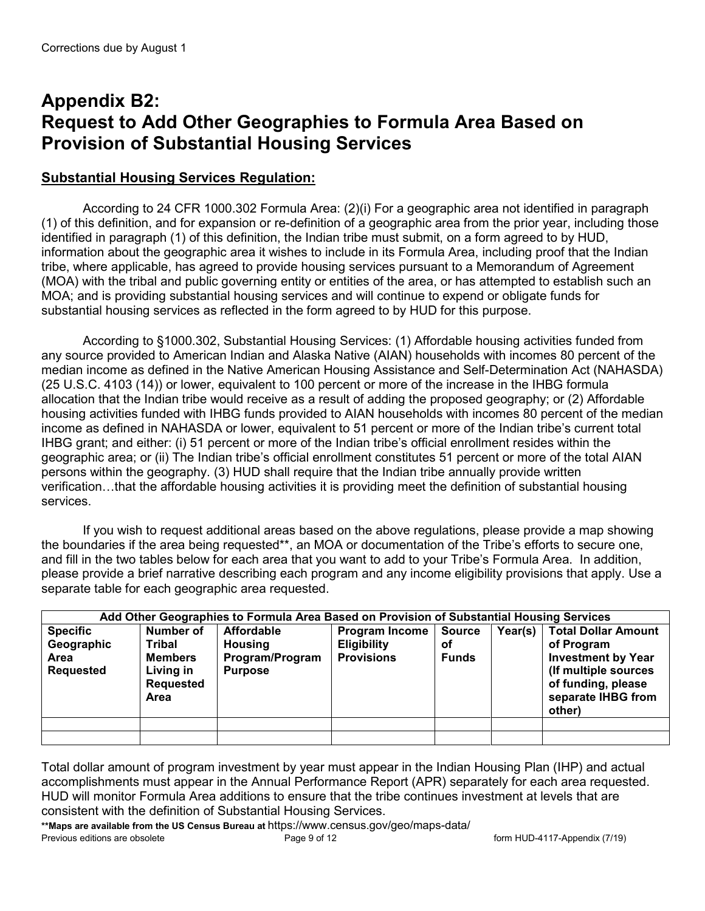# **Appendix B2: Request to Add Other Geographies to Formula Area Based on Provision of Substantial Housing Services**

### **Substantial Housing Services Regulation:**

According to 24 CFR 1000.302 Formula Area: (2)(i) For a geographic area not identified in paragraph (1) of this definition, and for expansion or re-definition of a geographic area from the prior year, including those identified in paragraph (1) of this definition, the Indian tribe must submit, on a form agreed to by HUD, information about the geographic area it wishes to include in its Formula Area, including proof that the Indian tribe, where applicable, has agreed to provide housing services pursuant to a Memorandum of Agreement (MOA) with the tribal and public governing entity or entities of the area, or has attempted to establish such an MOA; and is providing substantial housing services and will continue to expend or obligate funds for substantial housing services as reflected in the form agreed to by HUD for this purpose.

According to §1000.302, Substantial Housing Services: (1) Affordable housing activities funded from any source provided to American Indian and Alaska Native (AIAN) households with incomes 80 percent of the median income as defined in the Native American Housing Assistance and Self-Determination Act (NAHASDA) (25 U.S.C. 4103 (14)) or lower, equivalent to 100 percent or more of the increase in the IHBG formula allocation that the Indian tribe would receive as a result of adding the proposed geography; or (2) Affordable housing activities funded with IHBG funds provided to AIAN households with incomes 80 percent of the median income as defined in NAHASDA or lower, equivalent to 51 percent or more of the Indian tribe's current total IHBG grant; and either: (i) 51 percent or more of the Indian tribe's official enrollment resides within the geographic area; or (ii) The Indian tribe's official enrollment constitutes 51 percent or more of the total AIAN persons within the geography. (3) HUD shall require that the Indian tribe annually provide written verification…that the affordable housing activities it is providing meet the definition of substantial housing services.

If you wish to request additional areas based on the above regulations, please provide a map showing the boundaries if the area being requested\*\*, an MOA or documentation of the Tribe's efforts to secure one, and fill in the two tables below for each area that you want to add to your Tribe's Formula Area. In addition, please provide a brief narrative describing each program and any income eligibility provisions that apply. Use a separate table for each geographic area requested.

| Add Other Geographies to Formula Area Based on Provision of Substantial Housing Services |                                                                                |                                                                          |                                                                  |                                     |         |                                                                                                                                                     |
|------------------------------------------------------------------------------------------|--------------------------------------------------------------------------------|--------------------------------------------------------------------------|------------------------------------------------------------------|-------------------------------------|---------|-----------------------------------------------------------------------------------------------------------------------------------------------------|
| <b>Specific</b><br>Geographic<br><b>Area</b><br><b>Requested</b>                         | Number of<br>Tribal<br><b>Members</b><br>Living in<br><b>Requested</b><br>Area | <b>Affordable</b><br><b>Housing</b><br>Program/Program<br><b>Purpose</b> | <b>Program Income</b><br><b>Eligibility</b><br><b>Provisions</b> | <b>Source</b><br>οf<br><b>Funds</b> | Year(s) | <b>Total Dollar Amount</b><br>of Program<br><b>Investment by Year</b><br>(If multiple sources<br>of funding, please<br>separate IHBG from<br>other) |
|                                                                                          |                                                                                |                                                                          |                                                                  |                                     |         |                                                                                                                                                     |
|                                                                                          |                                                                                |                                                                          |                                                                  |                                     |         |                                                                                                                                                     |

Total dollar amount of program investment by year must appear in the Indian Housing Plan (IHP) and actual accomplishments must appear in the Annual Performance Report (APR) separately for each area requested. HUD will monitor Formula Area additions to ensure that the tribe continues investment at levels that are consistent with the definition of Substantial Housing Services.

**\*\*Maps are available from the US Census Bureau at** https://www.census.gov/geo/maps-data/ Previous editions are obsolete **Page 9 of 12** Form HUD-4117-Appendix (7/19)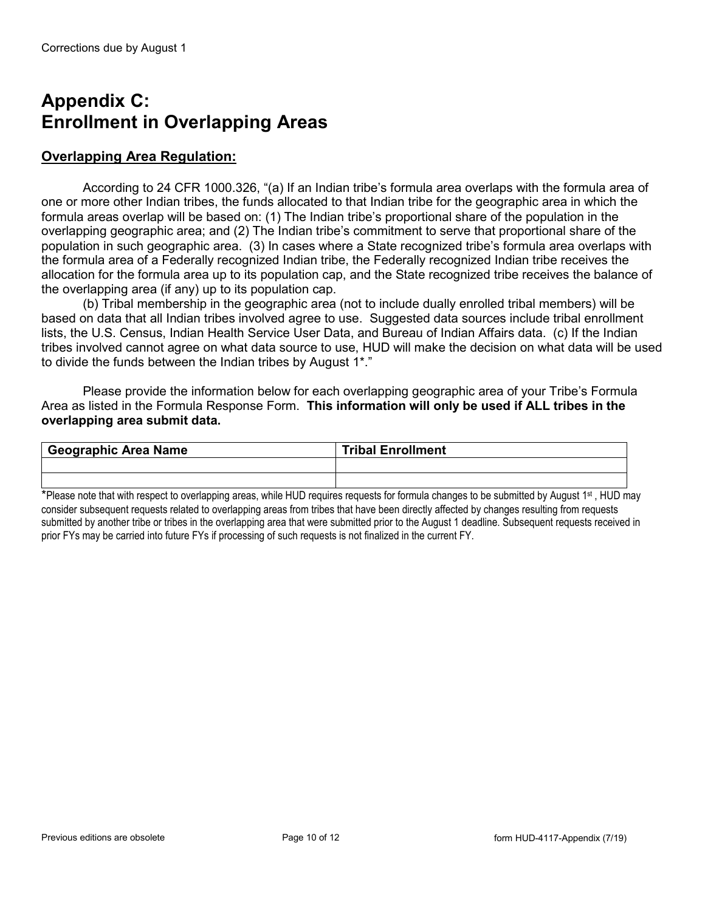# **Appendix C: Enrollment in Overlapping Areas**

### **Overlapping Area Regulation:**

According to 24 CFR 1000.326, "(a) If an Indian tribe's formula area overlaps with the formula area of one or more other Indian tribes, the funds allocated to that Indian tribe for the geographic area in which the formula areas overlap will be based on: (1) The Indian tribe's proportional share of the population in the overlapping geographic area; and (2) The Indian tribe's commitment to serve that proportional share of the population in such geographic area. (3) In cases where a State recognized tribe's formula area overlaps with the formula area of a Federally recognized Indian tribe, the Federally recognized Indian tribe receives the allocation for the formula area up to its population cap, and the State recognized tribe receives the balance of the overlapping area (if any) up to its population cap.

(b) Tribal membership in the geographic area (not to include dually enrolled tribal members) will be based on data that all Indian tribes involved agree to use. Suggested data sources include tribal enrollment lists, the U.S. Census, Indian Health Service User Data, and Bureau of Indian Affairs data. (c) If the Indian tribes involved cannot agree on what data source to use, HUD will make the decision on what data will be used to divide the funds between the Indian tribes by August 1\*."

Please provide the information below for each overlapping geographic area of your Tribe's Formula Area as listed in the Formula Response Form. **This information will only be used if ALL tribes in the overlapping area submit data.**

| <sup>I</sup> Geographic Area Name | <b>Tribal Enrollment</b> |
|-----------------------------------|--------------------------|
|                                   |                          |
|                                   |                          |

\*Please note that with respect to overlapping areas, while HUD requires requests for formula changes to be submitted by August 1<sup>st</sup>, HUD may consider subsequent requests related to overlapping areas from tribes that have been directly affected by changes resulting from requests submitted by another tribe or tribes in the overlapping area that were submitted prior to the August 1 deadline. Subsequent requests received in prior FYs may be carried into future FYs if processing of such requests is not finalized in the current FY.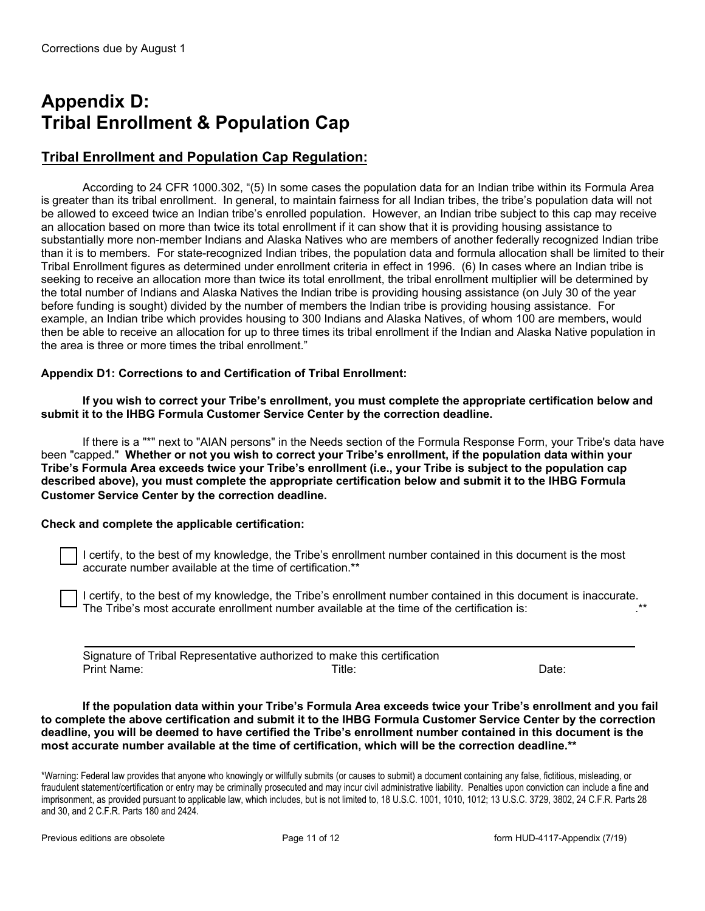# **Appendix D: Tribal Enrollment & Population Cap**

### **Tribal Enrollment and Population Cap Regulation:**

According to 24 CFR 1000.302, "(5) In some cases the population data for an Indian tribe within its Formula Area is greater than its tribal enrollment. In general, to maintain fairness for all Indian tribes, the tribe's population data will not be allowed to exceed twice an Indian tribe's enrolled population. However, an Indian tribe subject to this cap may receive an allocation based on more than twice its total enrollment if it can show that it is providing housing assistance to substantially more non-member Indians and Alaska Natives who are members of another federally recognized Indian tribe than it is to members. For state-recognized Indian tribes, the population data and formula allocation shall be limited to their Tribal Enrollment figures as determined under enrollment criteria in effect in 1996. (6) In cases where an Indian tribe is seeking to receive an allocation more than twice its total enrollment, the tribal enrollment multiplier will be determined by the total number of Indians and Alaska Natives the Indian tribe is providing housing assistance (on July 30 of the year before funding is sought) divided by the number of members the Indian tribe is providing housing assistance. For example, an Indian tribe which provides housing to 300 Indians and Alaska Natives, of whom 100 are members, would then be able to receive an allocation for up to three times its tribal enrollment if the Indian and Alaska Native population in the area is three or more times the tribal enrollment."

#### **Appendix D1: Corrections to and Certification of Tribal Enrollment:**

**If you wish to correct your Tribe's enrollment, you must complete the appropriate certification below and submit it to the IHBG Formula Customer Service Center by the correction deadline.**

If there is a "\*" next to "AIAN persons" in the Needs section of the Formula Response Form, your Tribe's data have been "capped." **Whether or not you wish to correct your Tribe's enrollment, if the population data within your Tribe's Formula Area exceeds twice your Tribe's enrollment (i.e., your Tribe is subject to the population cap described above), you must complete the appropriate certification below and submit it to the IHBG Formula Customer Service Center by the correction deadline.**

#### **Check and complete the applicable certification:**

I certify, to the best of my knowledge, the Tribe's enrollment number contained in this document is the most accurate number available at the time of certification.\*\*

I certify, to the best of my knowledge, the Tribe's enrollment number contained in this document is inaccurate. The Tribe's most accurate enrollment number available at the time of the certification is: .\*\*

|             | Signature of Tribal Representative authorized to make this certification |       |
|-------------|--------------------------------------------------------------------------|-------|
| Print Name: | ™itle:                                                                   | Date: |

 **If the population data within your Tribe's Formula Area exceeds twice your Tribe's enrollment and you fail to complete the above certification and submit it to the IHBG Formula Customer Service Center by the correction deadline, you will be deemed to have certified the Tribe's enrollment number contained in this document is the most accurate number available at the time of certification, which will be the correction deadline.\*\***

\*Warning: Federal law provides that anyone who knowingly or willfully submits (or causes to submit) a document containing any false, fictitious, misleading, or fraudulent statement/certification or entry may be criminally prosecuted and may incur civil administrative liability. Penalties upon conviction can include a fine and imprisonment, as provided pursuant to applicable law, which includes, but is not limited to, 18 U.S.C. 1001, 1010, 1012; 13 U.S.C. 3729, 3802, 24 C.F.R. Parts 28 and 30, and 2 C.F.R. Parts 180 and 2424.